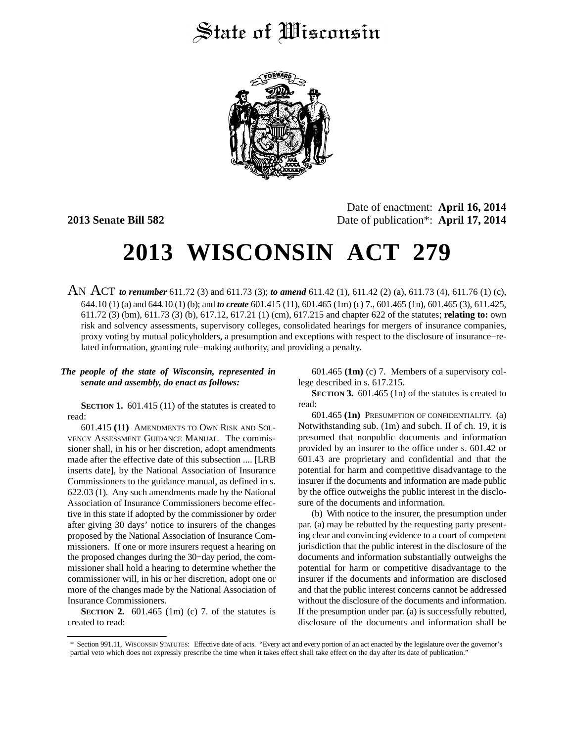## State of Wisconsin



Date of enactment: **April 16, 2014 2013 Senate Bill 582** Date of publication<sup>\*</sup>: **April 17, 2014** 

# **2013 WISCONSIN ACT 279**

AN ACT *to renumber* 611.72 (3) and 611.73 (3); *to amend* 611.42 (1), 611.42 (2) (a), 611.73 (4), 611.76 (1) (c), 644.10 (1) (a) and 644.10 (1) (b); and *to create* 601.415 (11), 601.465 (1m) (c) 7., 601.465 (1n), 601.465 (3), 611.425, 611.72 (3) (bm), 611.73 (3) (b), 617.12, 617.21 (1) (cm), 617.215 and chapter 622 of the statutes; **relating to:** own risk and solvency assessments, supervisory colleges, consolidated hearings for mergers of insurance companies, proxy voting by mutual policyholders, a presumption and exceptions with respect to the disclosure of insurance−related information, granting rule−making authority, and providing a penalty.

#### *The people of the state of Wisconsin, represented in senate and assembly, do enact as follows:*

**SECTION 1.** 601.415 (11) of the statutes is created to read:

601.415 **(11)** AMENDMENTS TO OWN RISK AND SOL-VENCY ASSESSMENT GUIDANCE MANUAL. The commissioner shall, in his or her discretion, adopt amendments made after the effective date of this subsection .... [LRB inserts date], by the National Association of Insurance Commissioners to the guidance manual, as defined in s. 622.03 (1). Any such amendments made by the National Association of Insurance Commissioners become effective in this state if adopted by the commissioner by order after giving 30 days' notice to insurers of the changes proposed by the National Association of Insurance Commissioners. If one or more insurers request a hearing on the proposed changes during the 30−day period, the commissioner shall hold a hearing to determine whether the commissioner will, in his or her discretion, adopt one or more of the changes made by the National Association of Insurance Commissioners.

**SECTION 2.** 601.465 (1m) (c) 7. of the statutes is created to read:

601.465 **(1m)** (c) 7. Members of a supervisory college described in s. 617.215.

**SECTION 3.** 601.465 (1n) of the statutes is created to read:

601.465 **(1n)** PRESUMPTION OF CONFIDENTIALITY. (a) Notwithstanding sub. (1m) and subch. II of ch. 19, it is presumed that nonpublic documents and information provided by an insurer to the office under s. 601.42 or 601.43 are proprietary and confidential and that the potential for harm and competitive disadvantage to the insurer if the documents and information are made public by the office outweighs the public interest in the disclosure of the documents and information.

(b) With notice to the insurer, the presumption under par. (a) may be rebutted by the requesting party presenting clear and convincing evidence to a court of competent jurisdiction that the public interest in the disclosure of the documents and information substantially outweighs the potential for harm or competitive disadvantage to the insurer if the documents and information are disclosed and that the public interest concerns cannot be addressed without the disclosure of the documents and information. If the presumption under par. (a) is successfully rebutted, disclosure of the documents and information shall be

<sup>\*</sup> Section 991.11, WISCONSIN STATUTES: Effective date of acts. "Every act and every portion of an act enacted by the legislature over the governor's partial veto which does not expressly prescribe the time when it takes effect shall take effect on the day after its date of publication."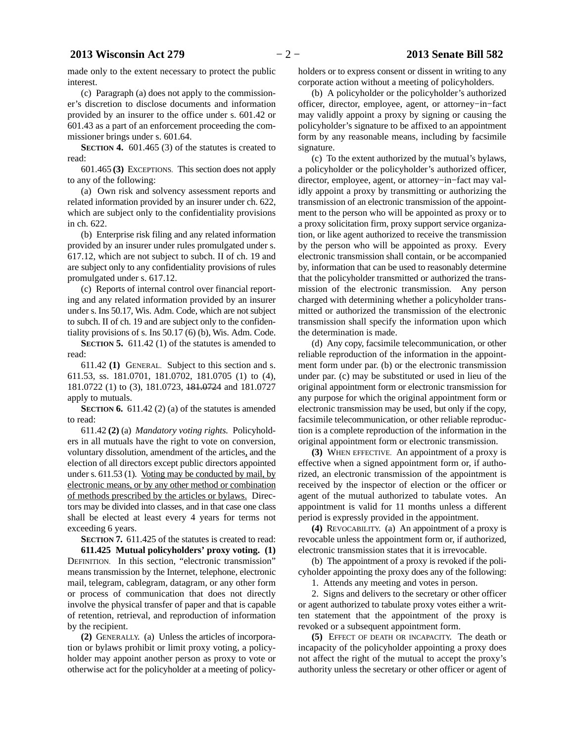made only to the extent necessary to protect the public interest.

(c) Paragraph (a) does not apply to the commissioner's discretion to disclose documents and information provided by an insurer to the office under s. 601.42 or 601.43 as a part of an enforcement proceeding the commissioner brings under s. 601.64.

**SECTION 4.** 601.465 (3) of the statutes is created to read:

601.465 **(3)** EXCEPTIONS. This section does not apply to any of the following:

(a) Own risk and solvency assessment reports and related information provided by an insurer under ch. 622, which are subject only to the confidentiality provisions in ch. 622.

(b) Enterprise risk filing and any related information provided by an insurer under rules promulgated under s. 617.12, which are not subject to subch. II of ch. 19 and are subject only to any confidentiality provisions of rules promulgated under s. 617.12.

(c) Reports of internal control over financial reporting and any related information provided by an insurer under s. Ins 50.17, Wis. Adm. Code, which are not subject to subch. II of ch. 19 and are subject only to the confidentiality provisions of s. Ins 50.17 (6) (b), Wis. Adm. Code.

**SECTION 5.** 611.42 (1) of the statutes is amended to read:

611.42 **(1)** GENERAL. Subject to this section and s. 611.53, ss. 181.0701, 181.0702, 181.0705 (1) to (4), 181.0722 (1) to (3), 181.0723, 181.0724 and 181.0727 apply to mutuals.

**SECTION 6.** 611.42 (2) (a) of the statutes is amended to read:

611.42 **(2)** (a) *Mandatory voting rights.* Policyholders in all mutuals have the right to vote on conversion, voluntary dissolution, amendment of the articles, and the election of all directors except public directors appointed under s. 611.53 (1). Voting may be conducted by mail, by electronic means, or by any other method or combination of methods prescribed by the articles or bylaws. Directors may be divided into classes, and in that case one class shall be elected at least every 4 years for terms not exceeding 6 years.

**SECTION 7.** 611.425 of the statutes is created to read: **611.425 Mutual policyholders' proxy voting. (1)** DEFINITION. In this section, "electronic transmission" means transmission by the Internet, telephone, electronic mail, telegram, cablegram, datagram, or any other form or process of communication that does not directly involve the physical transfer of paper and that is capable of retention, retrieval, and reproduction of information by the recipient.

**(2)** GENERALLY. (a) Unless the articles of incorporation or bylaws prohibit or limit proxy voting, a policyholder may appoint another person as proxy to vote or otherwise act for the policyholder at a meeting of policyholders or to express consent or dissent in writing to any corporate action without a meeting of policyholders.

(b) A policyholder or the policyholder's authorized officer, director, employee, agent, or attorney−in−fact may validly appoint a proxy by signing or causing the policyholder's signature to be affixed to an appointment form by any reasonable means, including by facsimile signature.

(c) To the extent authorized by the mutual's bylaws, a policyholder or the policyholder's authorized officer, director, employee, agent, or attorney−in−fact may validly appoint a proxy by transmitting or authorizing the transmission of an electronic transmission of the appointment to the person who will be appointed as proxy or to a proxy solicitation firm, proxy support service organization, or like agent authorized to receive the transmission by the person who will be appointed as proxy. Every electronic transmission shall contain, or be accompanied by, information that can be used to reasonably determine that the policyholder transmitted or authorized the transmission of the electronic transmission. Any person charged with determining whether a policyholder transmitted or authorized the transmission of the electronic transmission shall specify the information upon which the determination is made.

(d) Any copy, facsimile telecommunication, or other reliable reproduction of the information in the appointment form under par. (b) or the electronic transmission under par. (c) may be substituted or used in lieu of the original appointment form or electronic transmission for any purpose for which the original appointment form or electronic transmission may be used, but only if the copy, facsimile telecommunication, or other reliable reproduction is a complete reproduction of the information in the original appointment form or electronic transmission.

**(3)** WHEN EFFECTIVE. An appointment of a proxy is effective when a signed appointment form or, if authorized, an electronic transmission of the appointment is received by the inspector of election or the officer or agent of the mutual authorized to tabulate votes. An appointment is valid for 11 months unless a different period is expressly provided in the appointment.

**(4)** REVOCABILITY. (a) An appointment of a proxy is revocable unless the appointment form or, if authorized, electronic transmission states that it is irrevocable.

(b) The appointment of a proxy is revoked if the policyholder appointing the proxy does any of the following:

1. Attends any meeting and votes in person.

2. Signs and delivers to the secretary or other officer or agent authorized to tabulate proxy votes either a written statement that the appointment of the proxy is revoked or a subsequent appointment form.

**(5)** EFFECT OF DEATH OR INCAPACITY. The death or incapacity of the policyholder appointing a proxy does not affect the right of the mutual to accept the proxy's authority unless the secretary or other officer or agent of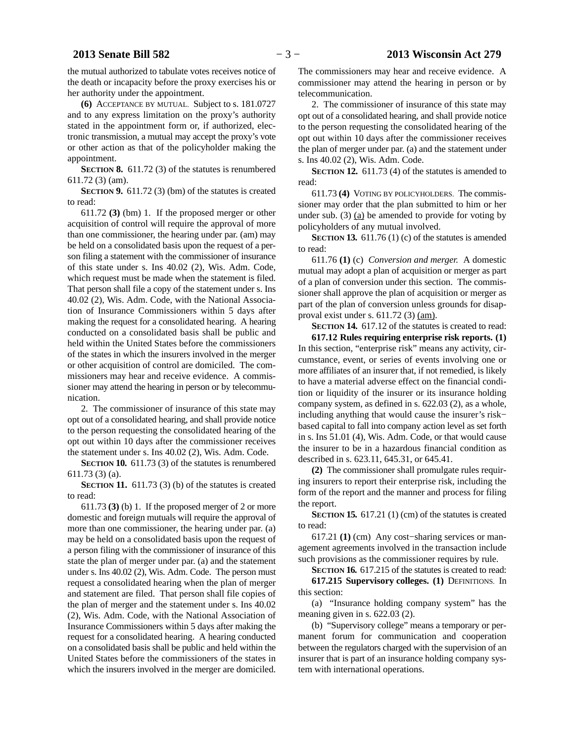the mutual authorized to tabulate votes receives notice of the death or incapacity before the proxy exercises his or her authority under the appointment.

**(6)** ACCEPTANCE BY MUTUAL. Subject to s. 181.0727 and to any express limitation on the proxy's authority stated in the appointment form or, if authorized, electronic transmission, a mutual may accept the proxy's vote or other action as that of the policyholder making the appointment.

**SECTION 8.** 611.72 (3) of the statutes is renumbered 611.72 (3) (am).

**SECTION 9.** 611.72 (3) (bm) of the statutes is created to read:

611.72 **(3)** (bm) 1. If the proposed merger or other acquisition of control will require the approval of more than one commissioner, the hearing under par. (am) may be held on a consolidated basis upon the request of a person filing a statement with the commissioner of insurance of this state under s. Ins 40.02 (2), Wis. Adm. Code, which request must be made when the statement is filed. That person shall file a copy of the statement under s. Ins 40.02 (2), Wis. Adm. Code, with the National Association of Insurance Commissioners within 5 days after making the request for a consolidated hearing. A hearing conducted on a consolidated basis shall be public and held within the United States before the commissioners of the states in which the insurers involved in the merger or other acquisition of control are domiciled. The commissioners may hear and receive evidence. A commissioner may attend the hearing in person or by telecommunication.

2. The commissioner of insurance of this state may opt out of a consolidated hearing, and shall provide notice to the person requesting the consolidated hearing of the opt out within 10 days after the commissioner receives the statement under s. Ins 40.02 (2), Wis. Adm. Code.

**SECTION 10.** 611.73 (3) of the statutes is renumbered 611.73 (3) (a).

**SECTION 11.** 611.73 (3) (b) of the statutes is created to read:

611.73 **(3)** (b) 1. If the proposed merger of 2 or more domestic and foreign mutuals will require the approval of more than one commissioner, the hearing under par. (a) may be held on a consolidated basis upon the request of a person filing with the commissioner of insurance of this state the plan of merger under par. (a) and the statement under s. Ins 40.02 (2), Wis. Adm. Code. The person must request a consolidated hearing when the plan of merger and statement are filed. That person shall file copies of the plan of merger and the statement under s. Ins 40.02 (2), Wis. Adm. Code, with the National Association of Insurance Commissioners within 5 days after making the request for a consolidated hearing. A hearing conducted on a consolidated basis shall be public and held within the United States before the commissioners of the states in which the insurers involved in the merger are domiciled.

The commissioners may hear and receive evidence. A commissioner may attend the hearing in person or by telecommunication.

2. The commissioner of insurance of this state may opt out of a consolidated hearing, and shall provide notice to the person requesting the consolidated hearing of the opt out within 10 days after the commissioner receives the plan of merger under par. (a) and the statement under s. Ins 40.02 (2), Wis. Adm. Code.

**SECTION 12.** 611.73 (4) of the statutes is amended to read:

611.73 **(4)** VOTING BY POLICYHOLDERS. The commissioner may order that the plan submitted to him or her under sub. (3)  $(a)$  be amended to provide for voting by policyholders of any mutual involved.

**SECTION 13.** 611.76 (1) (c) of the statutes is amended to read:

611.76 **(1)** (c) *Conversion and merger.* A domestic mutual may adopt a plan of acquisition or merger as part of a plan of conversion under this section. The commissioner shall approve the plan of acquisition or merger as part of the plan of conversion unless grounds for disapproval exist under s. 611.72 (3) (am).

**SECTION 14.** 617.12 of the statutes is created to read: **617.12 Rules requiring enterprise risk reports. (1)** In this section, "enterprise risk" means any activity, circumstance, event, or series of events involving one or more affiliates of an insurer that, if not remedied, is likely to have a material adverse effect on the financial condition or liquidity of the insurer or its insurance holding company system, as defined in s. 622.03 (2), as a whole, including anything that would cause the insurer's risk− based capital to fall into company action level as set forth in s. Ins 51.01 (4), Wis. Adm. Code, or that would cause the insurer to be in a hazardous financial condition as described in s. 623.11, 645.31, or 645.41.

**(2)** The commissioner shall promulgate rules requiring insurers to report their enterprise risk, including the form of the report and the manner and process for filing the report.

**SECTION 15.** 617.21 (1) (cm) of the statutes is created to read:

617.21 **(1)** (cm) Any cost−sharing services or management agreements involved in the transaction include such provisions as the commissioner requires by rule.

**SECTION 16.** 617.215 of the statutes is created to read:

**617.215 Supervisory colleges. (1)** DEFINITIONS. In this section:

(a) "Insurance holding company system" has the meaning given in s. 622.03 (2).

(b) "Supervisory college" means a temporary or permanent forum for communication and cooperation between the regulators charged with the supervision of an insurer that is part of an insurance holding company system with international operations.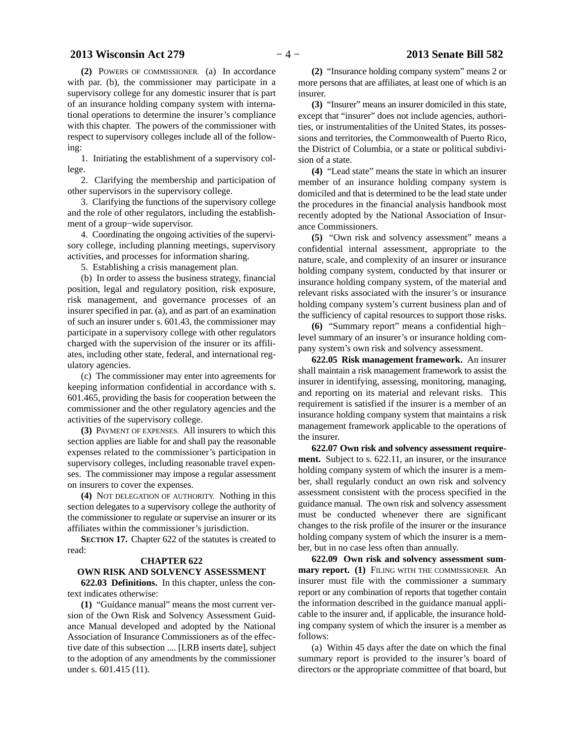#### **2013 Wisconsin Act 279** − 4 − 2013 Senate Bill 582

**(2)** POWERS OF COMMISSIONER. (a) In accordance with par. (b), the commissioner may participate in a supervisory college for any domestic insurer that is part of an insurance holding company system with international operations to determine the insurer's compliance with this chapter. The powers of the commissioner with respect to supervisory colleges include all of the following:

1. Initiating the establishment of a supervisory college.

2. Clarifying the membership and participation of other supervisors in the supervisory college.

3. Clarifying the functions of the supervisory college and the role of other regulators, including the establishment of a group−wide supervisor.

4. Coordinating the ongoing activities of the supervisory college, including planning meetings, supervisory activities, and processes for information sharing.

5. Establishing a crisis management plan.

(b) In order to assess the business strategy, financial position, legal and regulatory position, risk exposure, risk management, and governance processes of an insurer specified in par. (a), and as part of an examination of such an insurer under s. 601.43, the commissioner may participate in a supervisory college with other regulators charged with the supervision of the insurer or its affiliates, including other state, federal, and international regulatory agencies.

(c) The commissioner may enter into agreements for keeping information confidential in accordance with s. 601.465, providing the basis for cooperation between the commissioner and the other regulatory agencies and the activities of the supervisory college.

**(3)** PAYMENT OF EXPENSES. All insurers to which this section applies are liable for and shall pay the reasonable expenses related to the commissioner's participation in supervisory colleges, including reasonable travel expenses. The commissioner may impose a regular assessment on insurers to cover the expenses.

**(4)** NOT DELEGATION OF AUTHORITY. Nothing in this section delegates to a supervisory college the authority of the commissioner to regulate or supervise an insurer or its affiliates within the commissioner's jurisdiction.

**SECTION 17.** Chapter 622 of the statutes is created to read:

#### **CHAPTER 622**

### **OWN RISK AND SOLVENCY ASSESSMENT**

**622.03 Definitions.** In this chapter, unless the context indicates otherwise:

**(1)** "Guidance manual" means the most current version of the Own Risk and Solvency Assessment Guidance Manual developed and adopted by the National Association of Insurance Commissioners as of the effective date of this subsection .... [LRB inserts date], subject to the adoption of any amendments by the commissioner under s. 601.415 (11).

**(2)** "Insurance holding company system" means 2 or more persons that are affiliates, at least one of which is an insurer.

**(3)** "Insurer" means an insurer domiciled in this state, except that "insurer" does not include agencies, authorities, or instrumentalities of the United States, its possessions and territories, the Commonwealth of Puerto Rico, the District of Columbia, or a state or political subdivision of a state.

**(4)** "Lead state" means the state in which an insurer member of an insurance holding company system is domiciled and that is determined to be the lead state under the procedures in the financial analysis handbook most recently adopted by the National Association of Insurance Commissioners.

**(5)** "Own risk and solvency assessment" means a confidential internal assessment, appropriate to the nature, scale, and complexity of an insurer or insurance holding company system, conducted by that insurer or insurance holding company system, of the material and relevant risks associated with the insurer's or insurance holding company system's current business plan and of the sufficiency of capital resources to support those risks.

**(6)** "Summary report" means a confidential high− level summary of an insurer's or insurance holding company system's own risk and solvency assessment.

**622.05 Risk management framework.** An insurer shall maintain a risk management framework to assist the insurer in identifying, assessing, monitoring, managing, and reporting on its material and relevant risks. This requirement is satisfied if the insurer is a member of an insurance holding company system that maintains a risk management framework applicable to the operations of the insurer.

**622.07 Own risk and solvency assessment requirement.** Subject to s. 622.11, an insurer, or the insurance holding company system of which the insurer is a member, shall regularly conduct an own risk and solvency assessment consistent with the process specified in the guidance manual. The own risk and solvency assessment must be conducted whenever there are significant changes to the risk profile of the insurer or the insurance holding company system of which the insurer is a member, but in no case less often than annually.

**622.09 Own risk and solvency assessment summary report. (1)** FILING WITH THE COMMISSIONER. An insurer must file with the commissioner a summary report or any combination of reports that together contain the information described in the guidance manual applicable to the insurer and, if applicable, the insurance holding company system of which the insurer is a member as follows:

(a) Within 45 days after the date on which the final summary report is provided to the insurer's board of directors or the appropriate committee of that board, but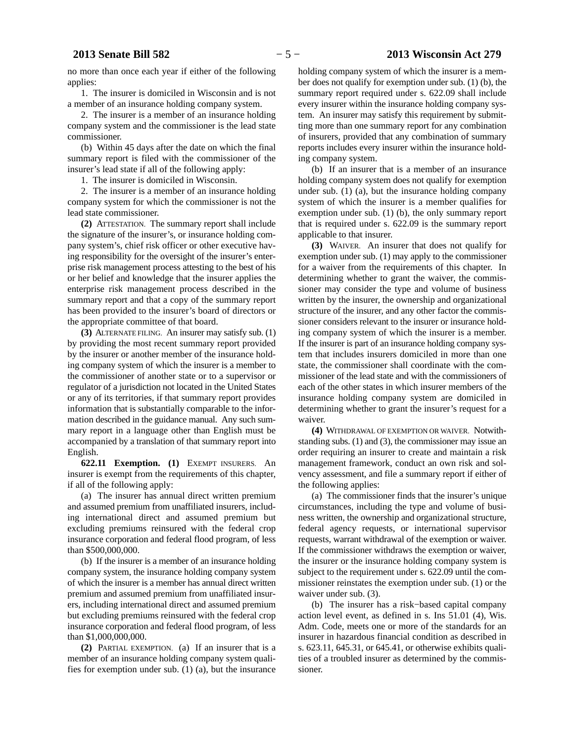### **2013 Senate Bill 582** − 5 − **2013 Wisconsin Act 279**

no more than once each year if either of the following applies:

1. The insurer is domiciled in Wisconsin and is not a member of an insurance holding company system.

2. The insurer is a member of an insurance holding company system and the commissioner is the lead state commissioner.

(b) Within 45 days after the date on which the final summary report is filed with the commissioner of the insurer's lead state if all of the following apply:

1. The insurer is domiciled in Wisconsin.

2. The insurer is a member of an insurance holding company system for which the commissioner is not the lead state commissioner.

**(2)** ATTESTATION. The summary report shall include the signature of the insurer's, or insurance holding company system's, chief risk officer or other executive having responsibility for the oversight of the insurer's enterprise risk management process attesting to the best of his or her belief and knowledge that the insurer applies the enterprise risk management process described in the summary report and that a copy of the summary report has been provided to the insurer's board of directors or the appropriate committee of that board.

**(3)** ALTERNATE FILING. An insurer may satisfy sub. (1) by providing the most recent summary report provided by the insurer or another member of the insurance holding company system of which the insurer is a member to the commissioner of another state or to a supervisor or regulator of a jurisdiction not located in the United States or any of its territories, if that summary report provides information that is substantially comparable to the information described in the guidance manual. Any such summary report in a language other than English must be accompanied by a translation of that summary report into English.

**622.11 Exemption. (1)** EXEMPT INSURERS. An insurer is exempt from the requirements of this chapter, if all of the following apply:

(a) The insurer has annual direct written premium and assumed premium from unaffiliated insurers, including international direct and assumed premium but excluding premiums reinsured with the federal crop insurance corporation and federal flood program, of less than \$500,000,000.

(b) If the insurer is a member of an insurance holding company system, the insurance holding company system of which the insurer is a member has annual direct written premium and assumed premium from unaffiliated insurers, including international direct and assumed premium but excluding premiums reinsured with the federal crop insurance corporation and federal flood program, of less than \$1,000,000,000.

**(2)** PARTIAL EXEMPTION. (a) If an insurer that is a member of an insurance holding company system qualifies for exemption under sub. (1) (a), but the insurance holding company system of which the insurer is a member does not qualify for exemption under sub. (1) (b), the summary report required under s. 622.09 shall include every insurer within the insurance holding company system. An insurer may satisfy this requirement by submitting more than one summary report for any combination of insurers, provided that any combination of summary reports includes every insurer within the insurance holding company system.

(b) If an insurer that is a member of an insurance holding company system does not qualify for exemption under sub. (1) (a), but the insurance holding company system of which the insurer is a member qualifies for exemption under sub. (1) (b), the only summary report that is required under s. 622.09 is the summary report applicable to that insurer.

**(3)** WAIVER. An insurer that does not qualify for exemption under sub. (1) may apply to the commissioner for a waiver from the requirements of this chapter. In determining whether to grant the waiver, the commissioner may consider the type and volume of business written by the insurer, the ownership and organizational structure of the insurer, and any other factor the commissioner considers relevant to the insurer or insurance holding company system of which the insurer is a member. If the insurer is part of an insurance holding company system that includes insurers domiciled in more than one state, the commissioner shall coordinate with the commissioner of the lead state and with the commissioners of each of the other states in which insurer members of the insurance holding company system are domiciled in determining whether to grant the insurer's request for a waiver.

**(4)** WITHDRAWAL OF EXEMPTION OR WAIVER. Notwithstanding subs. (1) and (3), the commissioner may issue an order requiring an insurer to create and maintain a risk management framework, conduct an own risk and solvency assessment, and file a summary report if either of the following applies:

(a) The commissioner finds that the insurer's unique circumstances, including the type and volume of business written, the ownership and organizational structure, federal agency requests, or international supervisor requests, warrant withdrawal of the exemption or waiver. If the commissioner withdraws the exemption or waiver, the insurer or the insurance holding company system is subject to the requirement under s. 622.09 until the commissioner reinstates the exemption under sub. (1) or the waiver under sub. (3).

(b) The insurer has a risk−based capital company action level event, as defined in s. Ins 51.01 (4), Wis. Adm. Code, meets one or more of the standards for an insurer in hazardous financial condition as described in s. 623.11, 645.31, or 645.41, or otherwise exhibits qualities of a troubled insurer as determined by the commissioner.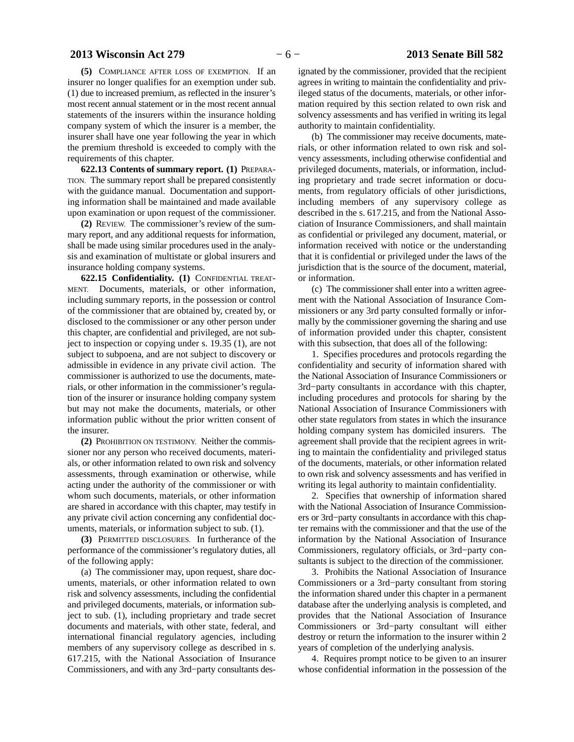#### **2013 Wisconsin Act 279** − 6 − **2013 Senate Bill 582**

**(5)** COMPLIANCE AFTER LOSS OF EXEMPTION. If an insurer no longer qualifies for an exemption under sub. (1) due to increased premium, as reflected in the insurer's most recent annual statement or in the most recent annual statements of the insurers within the insurance holding company system of which the insurer is a member, the insurer shall have one year following the year in which the premium threshold is exceeded to comply with the requirements of this chapter.

**622.13 Contents of summary report. (1)** PREPARA-TION. The summary report shall be prepared consistently with the guidance manual. Documentation and supporting information shall be maintained and made available upon examination or upon request of the commissioner.

**(2)** REVIEW. The commissioner's review of the summary report, and any additional requests for information, shall be made using similar procedures used in the analysis and examination of multistate or global insurers and insurance holding company systems.

**622.15 Confidentiality. (1)** CONFIDENTIAL TREAT-MENT. Documents, materials, or other information, including summary reports, in the possession or control of the commissioner that are obtained by, created by, or disclosed to the commissioner or any other person under this chapter, are confidential and privileged, are not subject to inspection or copying under s. 19.35 (1), are not subject to subpoena, and are not subject to discovery or admissible in evidence in any private civil action. The commissioner is authorized to use the documents, materials, or other information in the commissioner's regulation of the insurer or insurance holding company system but may not make the documents, materials, or other information public without the prior written consent of the insurer.

**(2)** PROHIBITION ON TESTIMONY. Neither the commissioner nor any person who received documents, materials, or other information related to own risk and solvency assessments, through examination or otherwise, while acting under the authority of the commissioner or with whom such documents, materials, or other information are shared in accordance with this chapter, may testify in any private civil action concerning any confidential documents, materials, or information subject to sub. (1).

**(3)** PERMITTED DISCLOSURES. In furtherance of the performance of the commissioner's regulatory duties, all of the following apply:

(a) The commissioner may, upon request, share documents, materials, or other information related to own risk and solvency assessments, including the confidential and privileged documents, materials, or information subject to sub. (1), including proprietary and trade secret documents and materials, with other state, federal, and international financial regulatory agencies, including members of any supervisory college as described in s. 617.215, with the National Association of Insurance Commissioners, and with any 3rd−party consultants des-

ignated by the commissioner, provided that the recipient agrees in writing to maintain the confidentiality and privileged status of the documents, materials, or other information required by this section related to own risk and solvency assessments and has verified in writing its legal authority to maintain confidentiality.

(b) The commissioner may receive documents, materials, or other information related to own risk and solvency assessments, including otherwise confidential and privileged documents, materials, or information, including proprietary and trade secret information or documents, from regulatory officials of other jurisdictions, including members of any supervisory college as described in the s. 617.215, and from the National Association of Insurance Commissioners, and shall maintain as confidential or privileged any document, material, or information received with notice or the understanding that it is confidential or privileged under the laws of the jurisdiction that is the source of the document, material, or information.

(c) The commissioner shall enter into a written agreement with the National Association of Insurance Commissioners or any 3rd party consulted formally or informally by the commissioner governing the sharing and use of information provided under this chapter, consistent with this subsection, that does all of the following:

1. Specifies procedures and protocols regarding the confidentiality and security of information shared with the National Association of Insurance Commissioners or 3rd−party consultants in accordance with this chapter, including procedures and protocols for sharing by the National Association of Insurance Commissioners with other state regulators from states in which the insurance holding company system has domiciled insurers. The agreement shall provide that the recipient agrees in writing to maintain the confidentiality and privileged status of the documents, materials, or other information related to own risk and solvency assessments and has verified in writing its legal authority to maintain confidentiality.

2. Specifies that ownership of information shared with the National Association of Insurance Commissioners or 3rd−party consultants in accordance with this chapter remains with the commissioner and that the use of the information by the National Association of Insurance Commissioners, regulatory officials, or 3rd−party consultants is subject to the direction of the commissioner.

3. Prohibits the National Association of Insurance Commissioners or a 3rd−party consultant from storing the information shared under this chapter in a permanent database after the underlying analysis is completed, and provides that the National Association of Insurance Commissioners or 3rd−party consultant will either destroy or return the information to the insurer within 2 years of completion of the underlying analysis.

4. Requires prompt notice to be given to an insurer whose confidential information in the possession of the